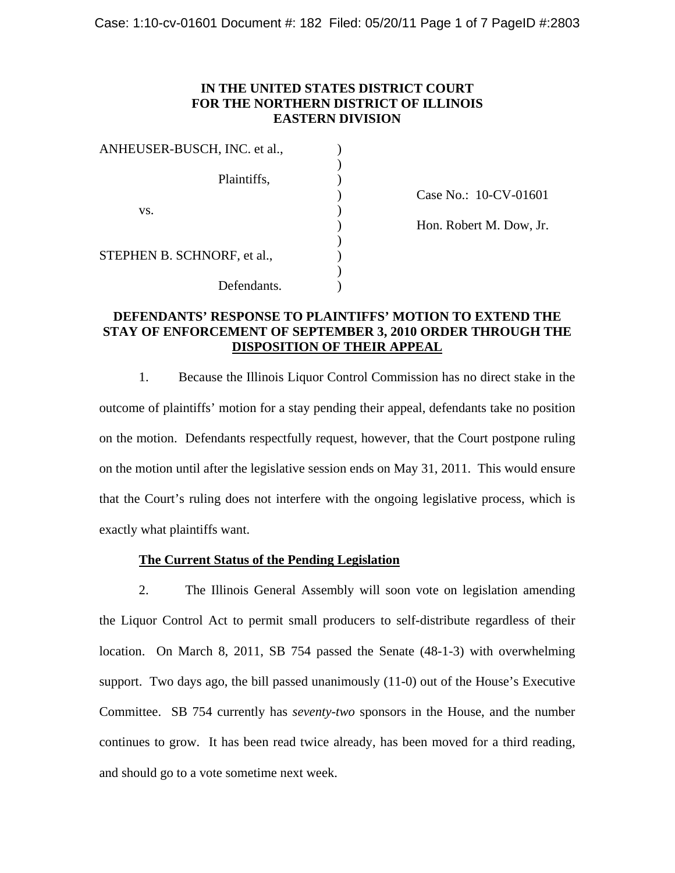## **IN THE UNITED STATES DISTRICT COURT FOR THE NORTHERN DISTRICT OF ILLINOIS EASTERN DIVISION**

| ANHEUSER-BUSCH, INC. et al., |                         |  |
|------------------------------|-------------------------|--|
| Plaintiffs,                  |                         |  |
|                              | Case No.: 10-CV-01601   |  |
| VS.                          |                         |  |
|                              | Hon. Robert M. Dow, Jr. |  |
|                              |                         |  |
| STEPHEN B. SCHNORF, et al.,  |                         |  |
|                              |                         |  |
| Defendants.                  |                         |  |

) Case No.: 10-CV-01601 ) Hon. Robert M. Dow, Jr. ) and the contract of  $\mathcal{L}$ 

## **DEFENDANTS' RESPONSE TO PLAINTIFFS' MOTION TO EXTEND THE STAY OF ENFORCEMENT OF SEPTEMBER 3, 2010 ORDER THROUGH THE DISPOSITION OF THEIR APPEAL**

1. Because the Illinois Liquor Control Commission has no direct stake in the outcome of plaintiffs' motion for a stay pending their appeal, defendants take no position on the motion. Defendants respectfully request, however, that the Court postpone ruling on the motion until after the legislative session ends on May 31, 2011. This would ensure that the Court's ruling does not interfere with the ongoing legislative process, which is exactly what plaintiffs want.

### **The Current Status of the Pending Legislation**

2. The Illinois General Assembly will soon vote on legislation amending the Liquor Control Act to permit small producers to self-distribute regardless of their location. On March 8, 2011, SB 754 passed the Senate (48-1-3) with overwhelming support. Two days ago, the bill passed unanimously (11-0) out of the House's Executive Committee. SB 754 currently has *seventy-two* sponsors in the House, and the number continues to grow. It has been read twice already, has been moved for a third reading, and should go to a vote sometime next week.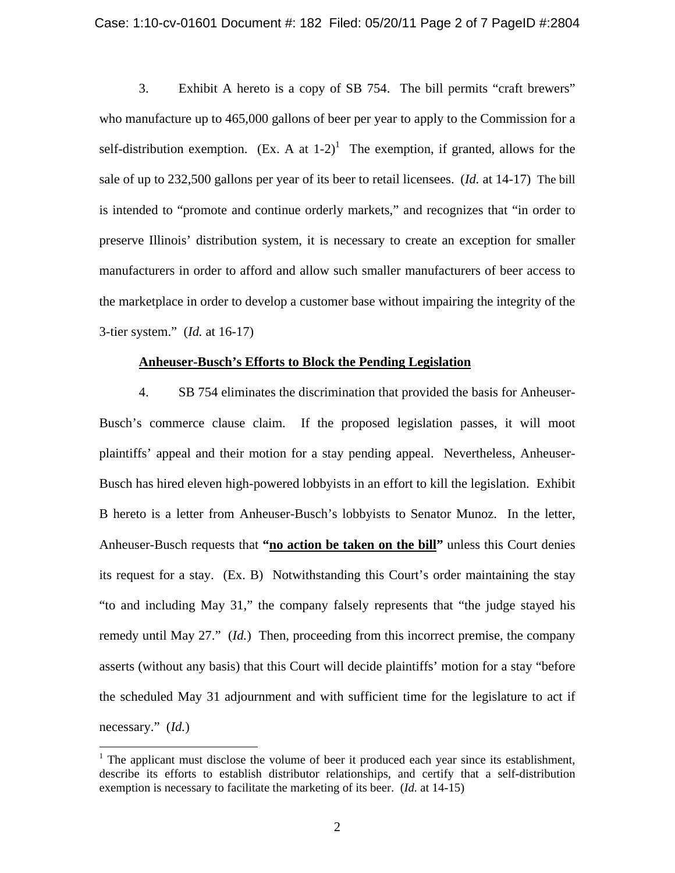#### Case: 1:10-cv-01601 Document #: 182 Filed: 05/20/11 Page 2 of 7 PageID #:2804

3. Exhibit A hereto is a copy of SB 754. The bill permits "craft brewers" who manufacture up to 465,000 gallons of beer per year to apply to the Commission for a self-distribution exemption. (Ex. A at  $1-2$ )<sup>1</sup> The exemption, if granted, allows for the sale of up to 232,500 gallons per year of its beer to retail licensees. (*Id.* at 14-17) The bill is intended to "promote and continue orderly markets," and recognizes that "in order to preserve Illinois' distribution system, itis necessary to create an exception for smaller manufacturers in order to afford and allow such smaller manufacturers of beer access to the marketplace in order to develop a customer base without impairing the integrity of the 3-tier system." (*Id.* at 16-17)

#### **Anheuser-Busch's Efforts to Block the Pending Legislation**

 4. SB 754 eliminates the discrimination that provided the basis for Anheuser- Busch's commerce clause claim. If the proposed legislation passes, it will moot plaintiffs' appeal and their motion for a stay pending appeal. Nevertheless, Anheuser- Busch has hired eleven high-powered lobbyists in an effort to kill the legislation. Exhibit B hereto is a letter from Anheuser-Busch's lobbyists to Senator Munoz. In the letter, Anheuser-Busch requests that **"no action be taken on the bill"** unless this Court denies its request for a stay. (Ex. B) Notwithstanding this Court's order maintaining the stay "to and including May 31," the company falsely represents that "the judge stayed his remedy until May 27." (*Id.*) Then, proceeding from this incorrect premise, the company asserts (without any basis) that this Court will decide plaintiffs' motion for a stay "before the scheduled May 31 adjournment and with sufficient time for the legislature to act if necessary." (*Id.*)

 $1$ . The applicant must disclose the volume of beer it produced each year since its establishment, describe its efforts to establish distributor relationships, and certify that a self-distribution exemption is necessary to facilitate the marketing of its beer. (*Id.* at 14-15)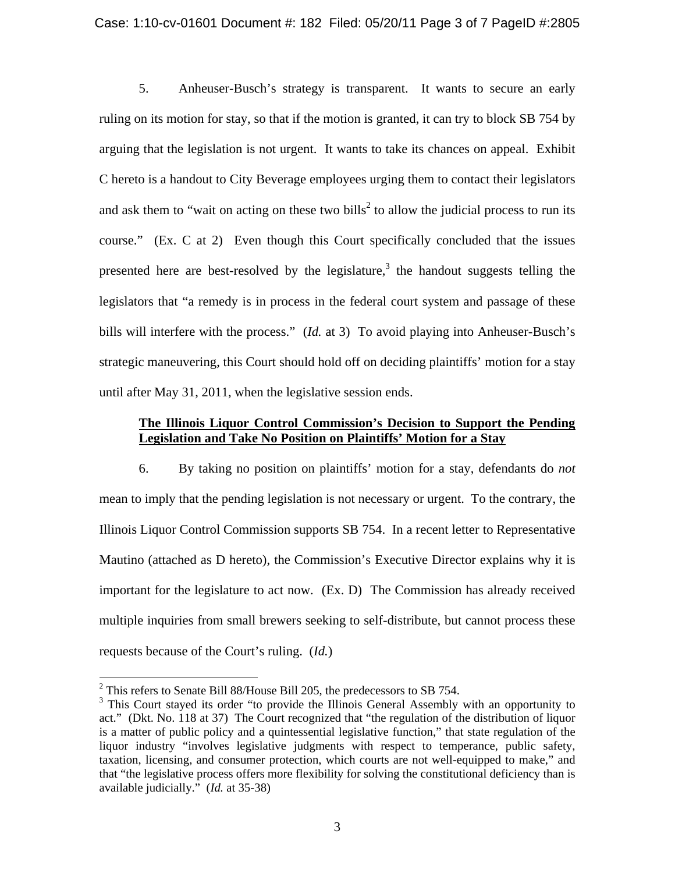### Case: 1:10-cv-01601 Document #: 182 Filed: 05/20/11 Page 3 of 7 PageID #:2805

5. Anheuser-Busch's strategy is transparent. It wants to secure an early ruling on its motion for stay, so that if the motion is granted, it can try to block SB 754 by arguing that the legislation is not urgent. It wants to take its chances on appeal. Exhibit C hereto is a handout to City Beverage employees urging them to contact their legislators and ask them to "wait on acting on these two bills<sup>2</sup> to allow the judicial process to run its course." (Ex. C at 2) Even though this Court specifically concluded that the issues presented here are best-resolved by the legislature,<sup>3</sup> the handout suggests telling the legislators that "a remedy is in process in the federal court system and passage of these bills will interfere with the process." (*Id.* at 3) To avoid playing into Anheuser-Busch's strategic maneuvering, this Court should hold off on deciding plaintiffs' motion for a stay until after May 31, 2011, when the legislative session ends.

### **The Illinois Liquor Control Commission's Decision to Support the Pending Legislation and Take No Position on Plaintiffs' Motion for a Stay**

6. By taking no position on plaintiffs' motion for a stay, defendants do *not* mean to imply that the pending legislation is not necessary or urgent. To the contrary, the Illinois Liquor Control Commission supports SB 754. In a recent letter to Representative Mautino (attached as D hereto), the Commission's Executive Director explains why it is important for the legislature to act now. (Ex. D) The Commission has already received multiple inquiries from small brewers seeking to self-distribute, but cannot process these requests because of the Court's ruling. (*Id.*)

 $^{2}$  This refers to Senate Bill 88/House Bill 205, the predecessors to SB 754.

<sup>&</sup>lt;sup>3</sup> This Court stayed its order "to provide the Illinois General Assembly with an opportunity to act." (Dkt. No. 118 at 37) The Court recognized that "the regulation of the distribution of liquor is a matter of public policy and a quintessential legislative function," that state regulation of the liquor industry "involves legislative judgments with respect to temperance, public safety, taxation, licensing, and consumer protection, which courts are not well-equipped to make," and that "the legislative process offers more flexibility for solving the constitutional deficiency than is available judicially." (*Id.* at 35-38)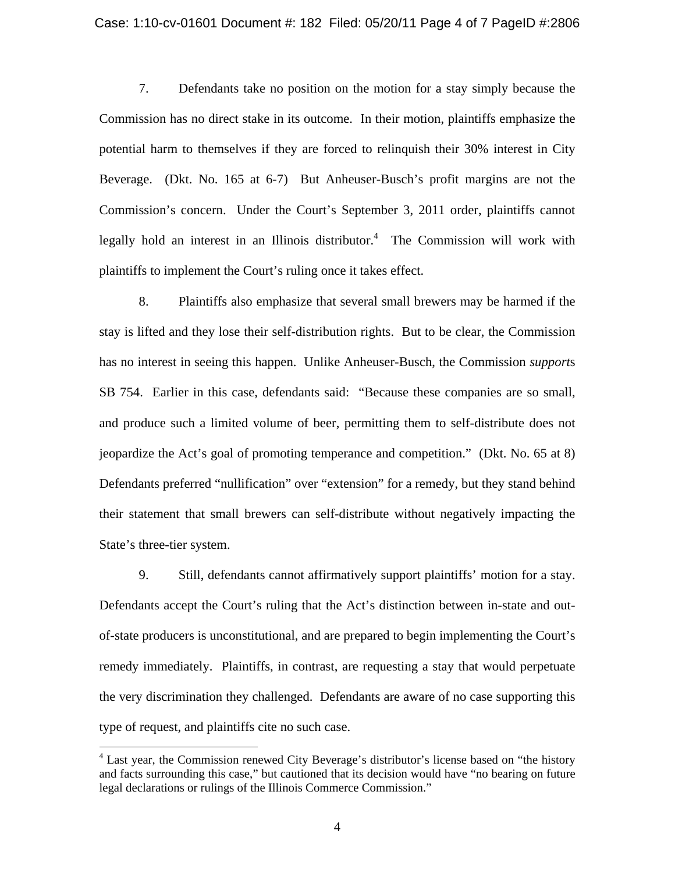#### Case: 1:10-cv-01601 Document #: 182 Filed: 05/20/11 Page 4 of 7 PageID #:2806

7. Defendants take no position on the motion for a stay simply because the Commission has no direct stake in its outcome. In their motion, plaintiffs emphasize the potential harm to themselves if they areforced to relinquish their 30% interest in City Beverage. (Dkt. No. 165 at 6-7) But Anheuser-Busch's profit margins are not the Commission's concern. Under the Court's September 3, 2011 order, plaintiffs cannot legally hold an interest in an Illinois distributor.<sup>4</sup> The Commission will work with plaintiffs to implement the Court's ruling once it takes effect.

8. Plaintiffs also emphasize that several small brewers may be harmed if the stay is lifted and they lose their self-distribution rights. But to be clear, the Commission has no interest in seeing this happen. Unlike Anheuser-Busch, the Commission *support*s SB 754. Earlier in this case, defendants said: "Because these companies are so small, and produce such a limited volume of beer, permitting them to self-distribute does not jeopardize the Act's goal of promoting temperance and competition." (Dkt. No. 65 at 8) Defendants preferred "nullification" over "extension" for a remedy, but they stand behind their statement that small brewers can self-distribute without negatively impacting the State's three-tier system.

9. Still, defendants cannot affirmatively support plaintiffs' motion for a stay. Defendants accept the Court's ruling that the Act's distinction between in-state and out of-state producers is unconstitutional, and are prepared to begin implementing the Court's remedy immediately. Plaintiffs, in contrast, are requesting a stay that would perpetuate the very discrimination they challenged. Defendants are aware of no case supporting this type of request, and plaintiffs cite no such case.

 $<sup>4</sup>$  Last year, the Commission renewed City Beverage's distributor's license based on "the history"</sup> and facts surrounding this case," but cautioned that its decision would have "no bearing on future legal declarations or rulings of the Illinois Commerce Commission."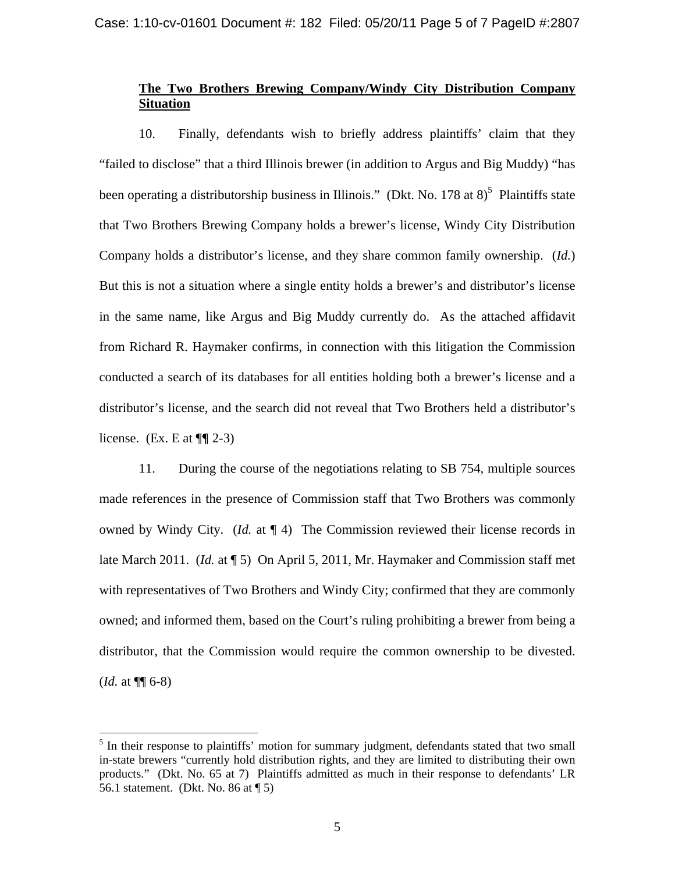# **The Two Brothers Brewing Company/Windy City Distribution Company Situation**

10. Finally, defendants wish to briefly address plaintiffs' claim that they "failed to disclose" that a third Illinois brewer (in addition to Argus and Big Muddy) "has been operating a distributorship business in Illinois." (Dkt. No. 178 at  $8)^5$  Plaintiffs state that Two Brothers Brewing Company holds a brewer's license, Windy City Distribution Company holds a distributor's license, and they share common family ownership. (*Id.*) But this is not a situation where a single entity holds a brewer's and distributor's license in the same name, like Argus and Big Muddy currently do. As the attached affidavit from Richard R. Haymaker confirms, in connection with this litigation the Commission conducted a search of its databases for all entities holding both a brewer's license and a distributor's license, and the search did not reveal that Two Brothers held a distributor's license. (Ex. E at ¶**¶** 2-3)

11. During the course of the negotiations relating to SB 754, multiple sources made references in the presence of Commission staff that Two Brothers was commonly owned by Windy City. (*Id.* at ¶ 4) The Commission reviewed their license records in late March 2011. (*Id.* at ¶ 5) On April 5, 2011, Mr. Haymaker and Commission staff met with representatives of Two Brothers and Windy City; confirmed that they are commonly owned; and informed them, based on the Court's ruling prohibiting a brewer from being a distributor, that the Commission would require the common ownership to be divested. (*Id.* at ¶¶ 6-8)

<sup>&</sup>lt;sup>5</sup> In their response to plaintiffs' motion for summary judgment, defendants stated that two small in-state brewers "currently hold distribution rights, and they are limited to distributing their own products." (Dkt. No. 65 at 7) Plaintiffs admitted as much in their response to defendants' LR 56.1 statement. (Dkt. No. 86 at ¶ 5)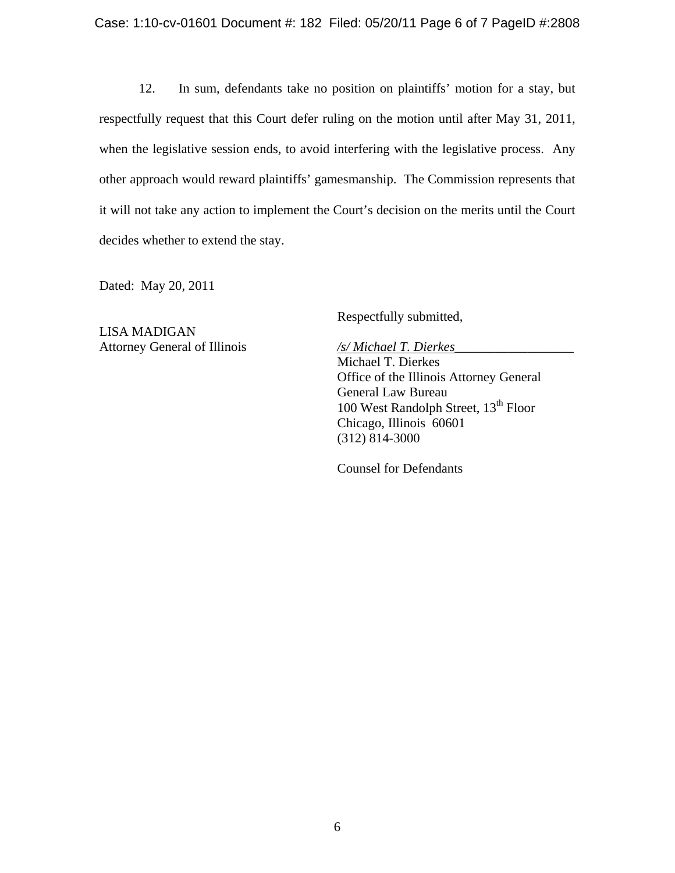### Case: 1:10-cv-01601 Document #: 182 Filed: 05/20/11 Page 6 of 7 PageID #:2808

12. In sum, defendants take no position on plaintiffs' motion for a stay, but respectfully request that this Court defer ruling on the motion until after May 31, 2011, when the legislative session ends, to avoid interfering with the legislative process. Any other approach would reward plaintiffs' gamesmanship. The Commission represents that it will not take any action to implement the Court's decision on the merits until the Court decides whether to extend the stay.

Dated: May 20, 2011

LISA MADIGAN Attorney General of Illinois */s/ Michael T. Dierkes* 

Respectfully submitted,

Michael T. Dierkes Office of the Illinois Attorney General General Law Bureau 100 West Randolph Street,  $13<sup>th</sup>$  Floor Chicago, Illinois 60601 (312) 814-3000

Counsel for Defendants